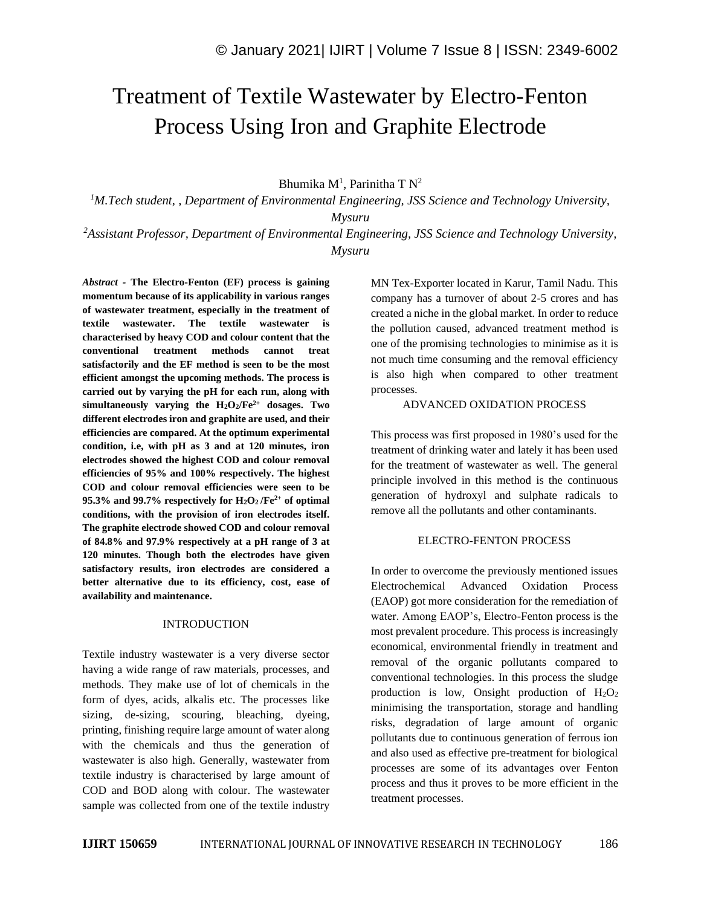# Treatment of Textile Wastewater by Electro-Fenton Process Using Iron and Graphite Electrode

Bhumika M<sup>1</sup>, Parinitha T N<sup>2</sup>

*<sup>1</sup>M.Tech student, , Department of Environmental Engineering, JSS Science and Technology University,* 

*Mysuru*

*<sup>2</sup>Assistant Professor, Department of Environmental Engineering, JSS Science and Technology University, Mysuru*

*Abstract -* **The Electro-Fenton (EF) process is gaining momentum because of its applicability in various ranges of wastewater treatment, especially in the treatment of textile wastewater. The textile wastewater is characterised by heavy COD and colour content that the conventional treatment methods cannot treat satisfactorily and the EF method is seen to be the most efficient amongst the upcoming methods. The process is carried out by varying the pH for each run, along with simultaneously** varying the  $H_2O_2/Fe^{2+}$  dosages. Two **different electrodes iron and graphite are used, and their efficiencies are compared. At the optimum experimental condition, i.e, with pH as 3 and at 120 minutes, iron electrodes showed the highest COD and colour removal efficiencies of 95% and 100% respectively. The highest COD and colour removal efficiencies were seen to be 95.3% and 99.7% respectively for H2O2 /Fe2+ of optimal conditions, with the provision of iron electrodes itself. The graphite electrode showed COD and colour removal of 84.8% and 97.9% respectively at a pH range of 3 at 120 minutes. Though both the electrodes have given satisfactory results, iron electrodes are considered a better alternative due to its efficiency, cost, ease of availability and maintenance.**

## INTRODUCTION

Textile industry wastewater is a very diverse sector having a wide range of raw materials, processes, and methods. They make use of lot of chemicals in the form of dyes, acids, alkalis etc. The processes like sizing, de-sizing, scouring, bleaching, dyeing, printing, finishing require large amount of water along with the chemicals and thus the generation of wastewater is also high. Generally, wastewater from textile industry is characterised by large amount of COD and BOD along with colour. The wastewater sample was collected from one of the textile industry MN Tex-Exporter located in Karur, Tamil Nadu. This company has a turnover of about 2-5 crores and has created a niche in the global market. In order to reduce the pollution caused, advanced treatment method is one of the promising technologies to minimise as it is not much time consuming and the removal efficiency is also high when compared to other treatment processes.

## ADVANCED OXIDATION PROCESS

This process was first proposed in 1980's used for the treatment of drinking water and lately it has been used for the treatment of wastewater as well. The general principle involved in this method is the continuous generation of hydroxyl and sulphate radicals to remove all the pollutants and other contaminants.

### ELECTRO-FENTON PROCESS

In order to overcome the previously mentioned issues Electrochemical Advanced Oxidation Process (EAOP) got more consideration for the remediation of water. Among EAOP's, Electro-Fenton process is the most prevalent procedure. This process is increasingly economical, environmental friendly in treatment and removal of the organic pollutants compared to conventional technologies. In this process the sludge production is low, Onsight production of  $H_2O_2$ minimising the transportation, storage and handling risks, degradation of large amount of organic pollutants due to continuous generation of ferrous ion and also used as effective pre-treatment for biological processes are some of its advantages over Fenton process and thus it proves to be more efficient in the treatment processes.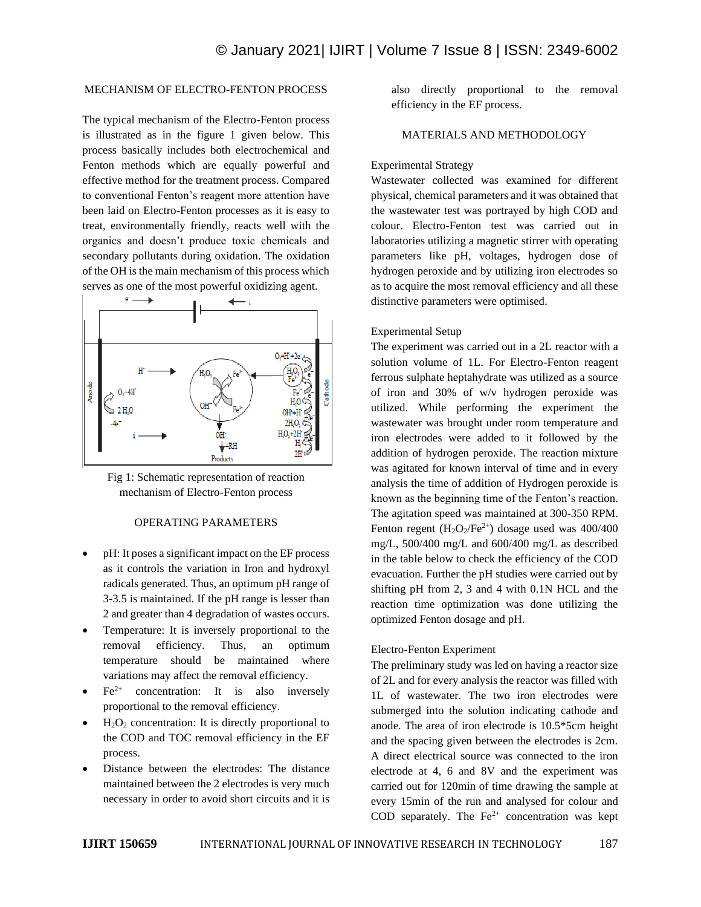# MECHANISM OF ELECTRO-FENTON PROCESS

The typical mechanism of the Electro-Fenton process is illustrated as in the figure 1 given below. This process basically includes both electrochemical and Fenton methods which are equally powerful and effective method for the treatment process. Compared to conventional Fenton's reagent more attention have been laid on Electro-Fenton processes as it is easy to treat, environmentally friendly, reacts well with the organics and doesn't produce toxic chemicals and secondary pollutants during oxidation. The oxidation of the OH is the main mechanism of this process which serves as one of the most powerful oxidizing agent.





## OPERATING PARAMETERS

- pH: It poses a significant impact on the EF process as it controls the variation in Iron and hydroxyl radicals generated. Thus, an optimum pH range of 3-3.5 is maintained. If the pH range is lesser than 2 and greater than 4 degradation of wastes occurs.
- Temperature: It is inversely proportional to the removal efficiency. Thus, an optimum temperature should be maintained where variations may affect the removal efficiency.
- $Fe<sup>2+</sup>$  concentration: It is also inversely proportional to the removal efficiency.
- $H<sub>2</sub>O<sub>2</sub>$  concentration: It is directly proportional to the COD and TOC removal efficiency in the EF process.
- Distance between the electrodes: The distance maintained between the 2 electrodes is very much necessary in order to avoid short circuits and it is

also directly proportional to the removal efficiency in the EF process.

# MATERIALS AND METHODOLOGY

#### Experimental Strategy

Wastewater collected was examined for different physical, chemical parameters and it was obtained that the wastewater test was portrayed by high COD and colour. Electro-Fenton test was carried out in laboratories utilizing a magnetic stirrer with operating parameters like pH, voltages, hydrogen dose of hydrogen peroxide and by utilizing iron electrodes so as to acquire the most removal efficiency and all these distinctive parameters were optimised.

#### Experimental Setup

The experiment was carried out in a 2L reactor with a solution volume of 1L. For Electro-Fenton reagent ferrous sulphate heptahydrate was utilized as a source of iron and 30% of w/v hydrogen peroxide was utilized. While performing the experiment the wastewater was brought under room temperature and iron electrodes were added to it followed by the addition of hydrogen peroxide. The reaction mixture was agitated for known interval of time and in every analysis the time of addition of Hydrogen peroxide is known as the beginning time of the Fenton's reaction. The agitation speed was maintained at 300-350 RPM. Fenton regent  $(H_2O_2/Fe^{2+})$  dosage used was 400/400 mg/L, 500/400 mg/L and 600/400 mg/L as described in the table below to check the efficiency of the COD evacuation. Further the pH studies were carried out by shifting pH from 2, 3 and 4 with 0.1N HCL and the reaction time optimization was done utilizing the optimized Fenton dosage and pH.

#### Electro-Fenton Experiment

The preliminary study was led on having a reactor size of 2L and for every analysis the reactor was filled with 1L of wastewater. The two iron electrodes were submerged into the solution indicating cathode and anode. The area of iron electrode is 10.5\*5cm height and the spacing given between the electrodes is 2cm. A direct electrical source was connected to the iron electrode at 4, 6 and 8V and the experiment was carried out for 120min of time drawing the sample at every 15min of the run and analysed for colour and COD separately. The  $Fe^{2+}$  concentration was kept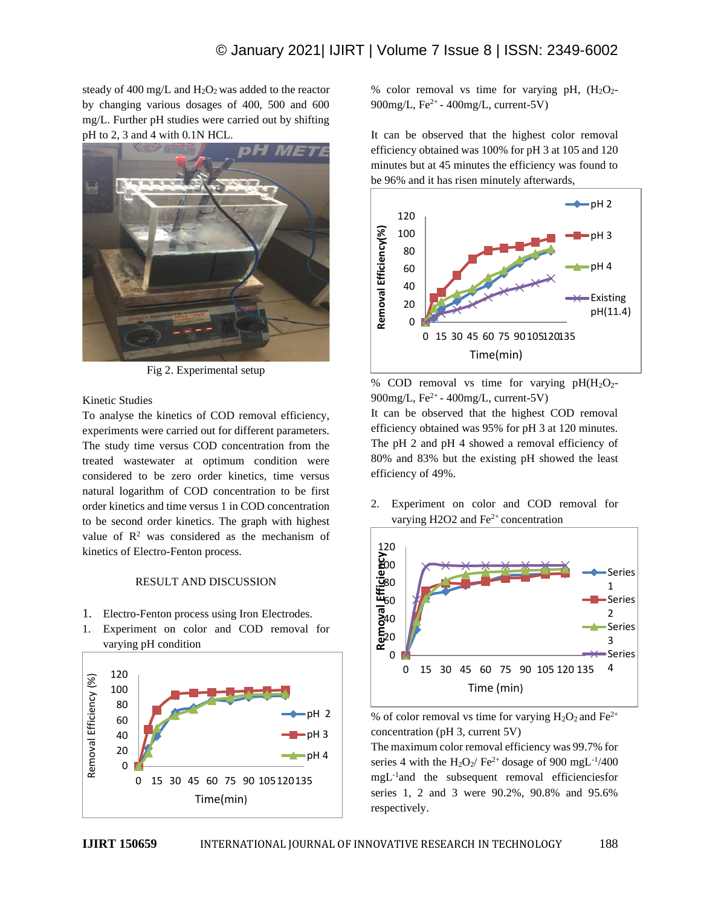steady of 400 mg/L and  $H_2O_2$  was added to the reactor by changing various dosages of 400, 500 and 600 mg/L. Further pH studies were carried out by shifting pH to 2, 3 and 4 with 0.1N HCL.



Fig 2. Experimental setup

# Kinetic Studies

To analyse the kinetics of COD removal efficiency, experiments were carried out for different parameters. The study time versus COD concentration from the treated wastewater at optimum condition were considered to be zero order kinetics, time versus natural logarithm of COD concentration to be first order kinetics and time versus 1 in COD concentration to be second order kinetics. The graph with highest value of  $\mathbb{R}^2$  was considered as the mechanism of kinetics of Electro-Fenton process.

# RESULT AND DISCUSSION

- 1. Electro-Fenton process using Iron Electrodes.
- 1. Experiment on color and COD removal for varying pH condition



% color removal vs time for varying pH,  $(H_2O_2$ -900mg/L, Fe<sup>2+</sup> - 400mg/L, current-5V)

It can be observed that the highest color removal efficiency obtained was 100% for pH 3 at 105 and 120 minutes but at 45 minutes the efficiency was found to be 96% and it has risen minutely afterwards,



% COD removal vs time for varying  $pH(H_2O_2 900$ mg/L, Fe<sup>2+</sup> -  $400$ mg/L, current-5V) It can be observed that the highest COD removal efficiency obtained was 95% for pH 3 at 120 minutes. The pH 2 and pH 4 showed a removal efficiency of 80% and 83% but the existing pH showed the least efficiency of 49%.

2. Experiment on color and COD removal for varying H2O2 and  $Fe<sup>2+</sup>$  concentration



% of color removal vs time for varying  $H_2O_2$  and  $Fe^{2+}$ concentration (pH 3, current 5V)

The maximum color removal efficiency was 99.7% for series 4 with the  $H_2O_2$  Fe<sup>2+</sup> dosage of 900 mgL<sup>-1</sup>/400 mgL-1 and the subsequent removal efficienciesfor series 1, 2 and 3 were 90.2%, 90.8% and 95.6% respectively.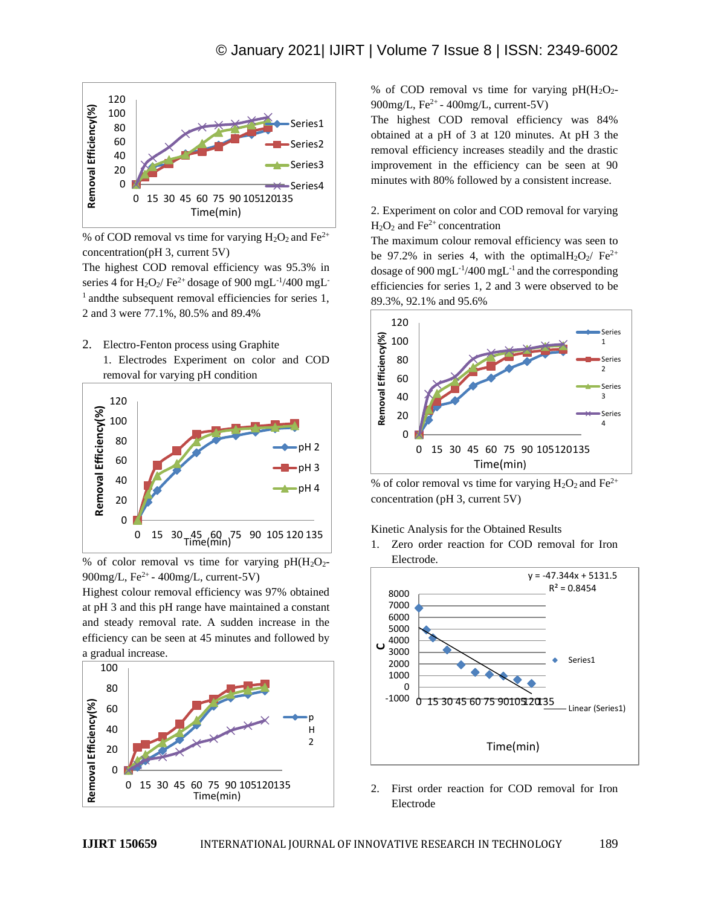

% of COD removal vs time for varying  $H_2O_2$  and  $Fe^{2+}$ concentration(pH 3, current 5V)

The highest COD removal efficiency was 95.3% in series 4 for  $H_2O_2$ / Fe<sup>2+</sup> dosage of 900 mgL<sup>-1</sup>/400 mgL<sup>-</sup>  $<sup>1</sup>$  andthe subsequent removal efficiencies for series 1,</sup> 2 and 3 were 77.1%, 80.5% and 89.4%

2. Electro-Fenton process using Graphite 1. Electrodes Experiment on color and COD removal for varying pH condition



% of color removal vs time for varying  $pH(H<sub>2</sub>O<sub>2</sub>$ -900mg/L, Fe<sup>2+</sup> - 400mg/L, current-5V)

Highest colour removal efficiency was 97% obtained at pH 3 and this pH range have maintained a constant and steady removal rate. A sudden increase in the efficiency can be seen at 45 minutes and followed by a gradual increase.



% of COD removal vs time for varying  $pH(H_2O_2-$ 900mg/L, Fe<sup>2+</sup> - 400mg/L, current-5V)

The highest COD removal efficiency was 84% obtained at a pH of 3 at 120 minutes. At pH 3 the removal efficiency increases steadily and the drastic improvement in the efficiency can be seen at 90 minutes with 80% followed by a consistent increase.

2. Experiment on color and COD removal for varying  $H_2O_2$  and Fe<sup>2+</sup> concentration

The maximum colour removal efficiency was seen to be 97.2% in series 4, with the optimal  $H_2O_2$  Fe<sup>2+</sup> dosage of 900 mg $L^{-1}/400$  mg $L^{-1}$  and the corresponding efficiencies for series 1, 2 and 3 were observed to be 89.3%, 92.1% and 95.6%



% of color removal vs time for varying  $H_2O_2$  and  $Fe^{2+}$ concentration (pH 3, current 5V)

## Kinetic Analysis for the Obtained Results

1. Zero order reaction for COD removal for Iron Electrode.



2. First order reaction for COD removal for Iron Electrode